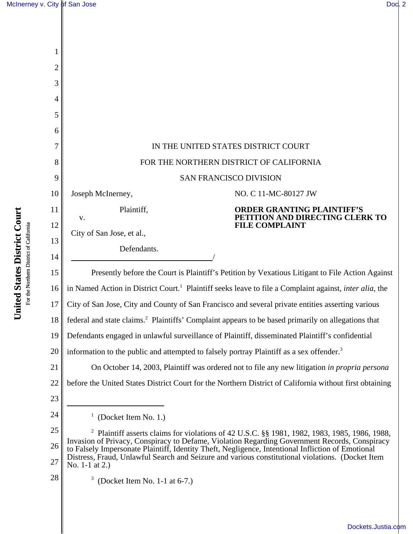| 1              |                                                                                                                                                                                                                                                                                                        |  |  |
|----------------|--------------------------------------------------------------------------------------------------------------------------------------------------------------------------------------------------------------------------------------------------------------------------------------------------------|--|--|
| $\overline{2}$ |                                                                                                                                                                                                                                                                                                        |  |  |
| 3              |                                                                                                                                                                                                                                                                                                        |  |  |
| 4              |                                                                                                                                                                                                                                                                                                        |  |  |
| 5              |                                                                                                                                                                                                                                                                                                        |  |  |
| 6              |                                                                                                                                                                                                                                                                                                        |  |  |
|                | IN THE UNITED STATES DISTRICT COURT                                                                                                                                                                                                                                                                    |  |  |
| 8              | FOR THE NORTHERN DISTRICT OF CALIFORNIA                                                                                                                                                                                                                                                                |  |  |
| 9              | <b>SAN FRANCISCO DIVISION</b>                                                                                                                                                                                                                                                                          |  |  |
| 10             | NO. C 11-MC-80127 JW<br>Joseph McInerney,                                                                                                                                                                                                                                                              |  |  |
| 11             | Plaintiff,<br><b>ORDER GRANTING PLAINTIFF'S</b><br>PETITION AND DIRECTING CLERK TO<br>V.                                                                                                                                                                                                               |  |  |
| 12             | <b>FILE COMPLAINT</b><br>City of San Jose, et al.,                                                                                                                                                                                                                                                     |  |  |
| 13             | Defendants.                                                                                                                                                                                                                                                                                            |  |  |
| 14             |                                                                                                                                                                                                                                                                                                        |  |  |
| 15             | Presently before the Court is Plaintiff's Petition by Vexatious Litigant to File Action Against                                                                                                                                                                                                        |  |  |
| 16             | in Named Action in District Court. <sup>1</sup> Plaintiff seeks leave to file a Complaint against, <i>inter alia</i> , the                                                                                                                                                                             |  |  |
| 17             | City of San Jose, City and County of San Francisco and several private entities asserting various                                                                                                                                                                                                      |  |  |
| 18             | federal and state claims. <sup>2</sup> Plaintiffs' Complaint appears to be based primarily on allegations that                                                                                                                                                                                         |  |  |
| 19             | Defendants engaged in unlawful surveillance of Plaintiff, disseminated Plaintiff's confidential                                                                                                                                                                                                        |  |  |
| 20             | information to the public and attempted to falsely portray Plaintiff as a sex offender. <sup>3</sup>                                                                                                                                                                                                   |  |  |
| 21             | On October 14, 2003, Plaintiff was ordered not to file any new litigation in propria persona                                                                                                                                                                                                           |  |  |
| 22             | before the United States District Court for the Northern District of California without first obtaining                                                                                                                                                                                                |  |  |
| 23             |                                                                                                                                                                                                                                                                                                        |  |  |
| 24             | $1$ (Docket Item No. 1.)                                                                                                                                                                                                                                                                               |  |  |
| 25             | <sup>2</sup> Plaintiff asserts claims for violations of 42 U.S.C. §§ 1981, 1982, 1983, 1985, 1986, 1988,                                                                                                                                                                                               |  |  |
| 26             | Invasion of Privacy, Conspiracy to Defame, Violation Regarding Government Records, Conspiracy<br>to Falsely Impersonate Plaintiff, Identity Theft, Negligence, Intentional Infliction of Emotional<br>Distress, Fraud, Unlawful Search and Seizure and various constitutional violations. (Docket Item |  |  |
| 27             | No. 1-1 at 2.)                                                                                                                                                                                                                                                                                         |  |  |
| 28             | 3<br>(Docket Item No. 1-1 at 6-7.)                                                                                                                                                                                                                                                                     |  |  |
|                |                                                                                                                                                                                                                                                                                                        |  |  |

United States District Court **United States District Court** For the Northern District of California For the Northern District of California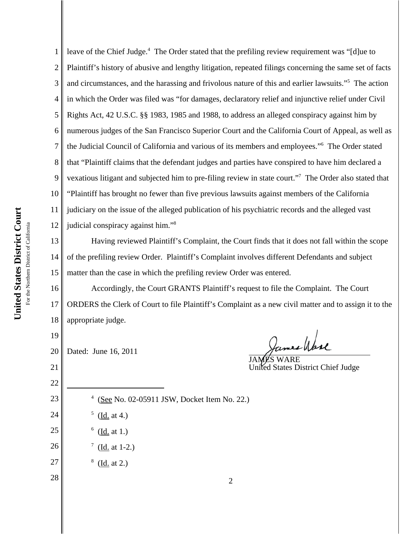1 2 3 4 5 6 7 8 9 10 11 12 leave of the Chief Judge.<sup>4</sup> The Order stated that the prefiling review requirement was "[d]ue to Plaintiff's history of abusive and lengthy litigation, repeated filings concerning the same set of facts and circumstances, and the harassing and frivolous nature of this and earlier lawsuits."5 The action in which the Order was filed was "for damages, declaratory relief and injunctive relief under Civil Rights Act, 42 U.S.C. §§ 1983, 1985 and 1988, to address an alleged conspiracy against him by numerous judges of the San Francisco Superior Court and the California Court of Appeal, as well as the Judicial Council of California and various of its members and employees."6 The Order stated that "Plaintiff claims that the defendant judges and parties have conspired to have him declared a vexatious litigant and subjected him to pre-filing review in state court."<sup>7</sup> The Order also stated that "Plaintiff has brought no fewer than five previous lawsuits against members of the California judiciary on the issue of the alleged publication of his psychiatric records and the alleged vast judicial conspiracy against him."8

13 14 15 Having reviewed Plaintiff's Complaint, the Court finds that it does not fall within the scope of the prefiling review Order. Plaintiff's Complaint involves different Defendants and subject matter than the case in which the prefiling review Order was entered.

16 17 18 Accordingly, the Court GRANTS Plaintiff's request to file the Complaint. The Court ORDERS the Clerk of Court to file Plaintiff's Complaint as a new civil matter and to assign it to the appropriate judge.

20 Dated: June 16, 2011

19

21

22

23

24

25

26

27

28

James Wase

JAMES WARE United States District Chief Judge

- <sup>4</sup> (See No. 02-05911 JSW, Docket Item No. 22.)
- $^5$  (<u>Id.</u> at 4.)
	- $6 \; (\underline{Id} \; \text{at} \; 1.)$
- $\frac{7}{ }$  (Id. at 1-2.)
- $^8$  (Id. at 2.)

2